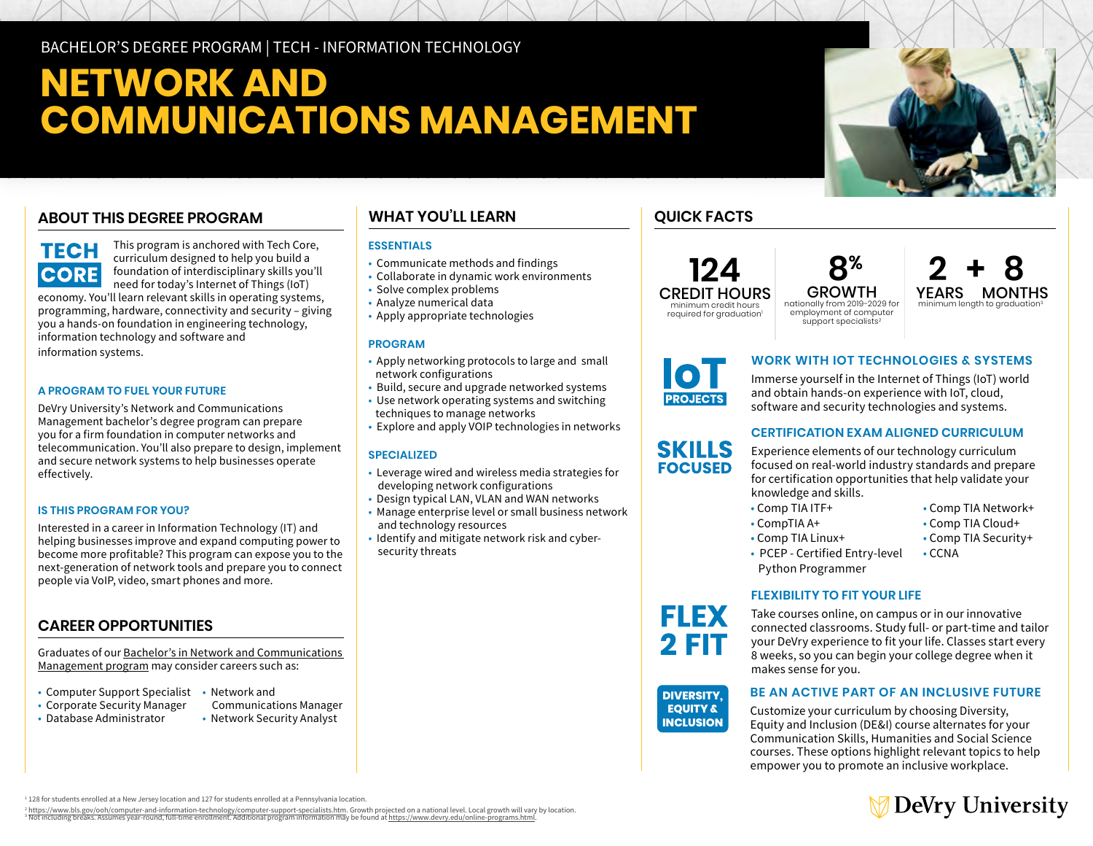## BACHELOR'S DEGREE PROGRAM | TECH - INFORMATION TECHNOLOGY

# **NETWORK AND COMMUNICATIONS MANAGEMENT**

## **ABOUT THIS DEGREE PROGRAM**



This program is anchored with Tech Core, curriculum designed to help you build a foundation of interdisciplinary skills you'll need for today's Internet of Things (IoT)

economy. You'll learn relevant skills in operating systems, programming, hardware, connectivity and security – giving you a hands-on foundation in engineering technology, information technology and software and information systems.

## **A PROGRAM TO FUEL YOUR FUTURE**

DeVry University's Network and Communications Management bachelor's degree program can prepare you for a firm foundation in computer networks and telecommunication. You'll also prepare to design, implement and secure network systems to help businesses operate effectively.

## **IS THIS PROGRAM FOR YOU?**

Interested in a career in Information Technology (IT) and helping businesses improve and expand computing power to become more profitable? This program can expose you to the next-generation of network tools and prepare you to connect people via VoIP, video, smart phones and more.

## **CAREER OPPORTUNITIES**

Graduates of our [Bachelor's in Network and Communications](https://www.devry.edu/online-programs/bachelors-degrees/network-communications-management.html)  [Management program](https://www.devry.edu/online-programs/bachelors-degrees/network-communications-management.html) may consider careers such as:

- Computer Support Specialist Network and
- Corporate Security Manager Communications Manager
- Database Administrator Network Security Analyst
- 

## **WHAT YOU'LL LEARN**

## **ESSENTIALS**

- Communicate methods and findings
- Collaborate in dynamic work environments
- Solve complex problems
- Analyze numerical data
- Apply appropriate technologies

#### **PROGRAM**

- Apply networking protocols to large and small network configurations
- Build, secure and upgrade networked systems
- Use network operating systems and switching techniques to manage networks
- Explore and apply VOIP technologies in networks

## **SPECIALIZED**

- Leverage wired and wireless media strategies for developing network configurations
- Design typical LAN, VLAN and WAN networks
- Manage enterprise level or small business network and technology resources
- Identify and mitigate network risk and cyber security threats

## **QUICK FACTS**



**8% 124 2 + 8** employment of computer support specialists<sup>2</sup>





**SKILLS FOCUSED** 

## **WORK WITH IOT TECHNOLOGIES & SYSTEMS**

Immerse yourself in the Internet of Things (IoT) world and obtain hands-on experience with IoT, cloud, software and security technologies and systems.

## **CERTIFICATION EXAM ALIGNED CURRICULUM**

Experience elements of our technology curriculum focused on real-world industry standards and prepare for certification opportunities that help validate your knowledge and skills.

- Comp TIA ITF+ • Comp TIA Network+
- 
- 
- 
- Python Programmer

## **FLEXIBILITY TO FIT YOUR LIFE**

Take courses online, on campus or in our innovative connected classrooms. Study full- or part-time and tailor your DeVry experience to fit your life. Classes start every 8 weeks, so you can begin your college degree when it makes sense for you.

#### **DIVERSITY. EOUITY & INCLUSION**

**FLEX 2 FIT** 

## **BE AN ACTIVE PART OF AN INCLUSIVE FUTURE**

Customize your curriculum by choosing Diversity, Equity and Inclusion (DE&I) course alternates for your Communication Skills, Humanities and Social Science courses. These options highlight relevant topics to help empower you to promote an inclusive workplace.



1 128 for students enrolled at a New Jersey location and 127 for students enrolled at a Pennsylvania location.

<sup>2</sup> https://www.bls.gov/ooh/computer-and-information-technology/computer-support-specialists.htm. Growth projected on a national level. Local growth will vary by location.<br><sup>3</sup> Not including breaks. Assumes year-round, full

• Comp TIA Linux+ • Comp TIA Security+ • PCEP - Certified Entry-level • CCNA

- CompTIA A+ Comp TIA Cloud+
	-
	-